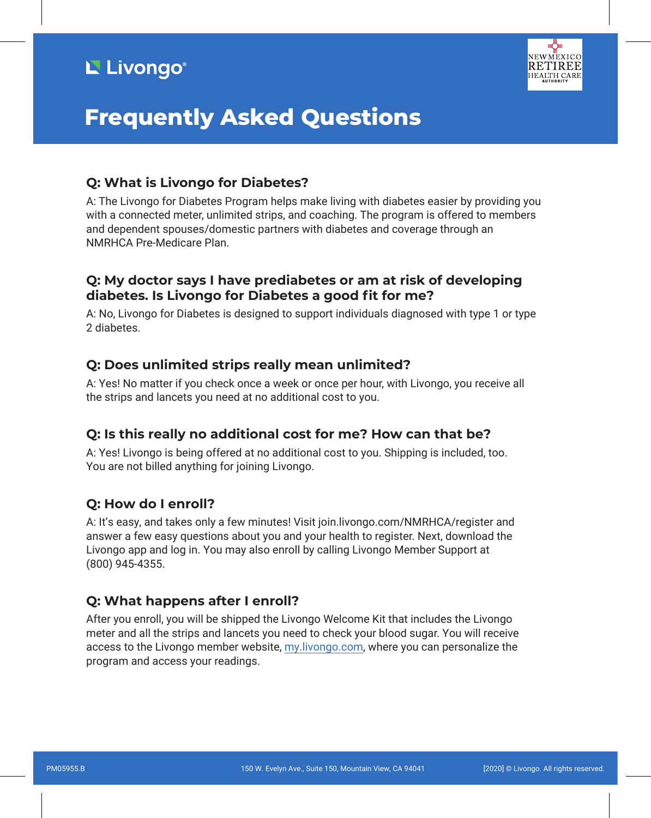# L' Livongo®



# **Frequently Asked Questions**

## **Q: What is Livongo for Diabetes?**

A: The Livongo for Diabetes Program helps make living with diabetes easier by providing you with a connected meter, unlimited strips, and coaching. The program is offered to members and dependent spouses/domestic partners with diabetes and coverage through an NMRHCA Pre-Medicare Plan.

# **Q: My doctor says I have prediabetes or am at risk of developing diabetes. Is Livongo for Diabetes a good fit for me?**

A: No, Livongo for Diabetes is designed to support individuals diagnosed with type 1 or type 2 diabetes.

### **Q: Does unlimited strips really mean unlimited?**

A: Yes! No matter if you check once a week or once per hour, with Livongo, you receive all the strips and lancets you need at no additional cost to you.

#### **Q: Is this really no additional cost for me? How can that be?**

A: Yes! Livongo is being offered at no additional cost to you. Shipping is included, too. You are not billed anything for joining Livongo.

#### **Q: How do I enroll?**

A: It's easy, and takes only a few minutes! Visit join.livongo.com/NMRHCA/register and answer a few easy questions about you and your health to register. Next, download the Livongo app and log in. You may also enroll by calling Livongo Member Support at (800) 945-4355.

#### **Q: What happens after I enroll?**

After you enroll, you will be shipped the Livongo Welcome Kit that includes the Livongo meter and all the strips and lancets you need to check your blood sugar. You will receive access to the Livongo member website, my.livongo.com, where you can personalize the program and access your readings.